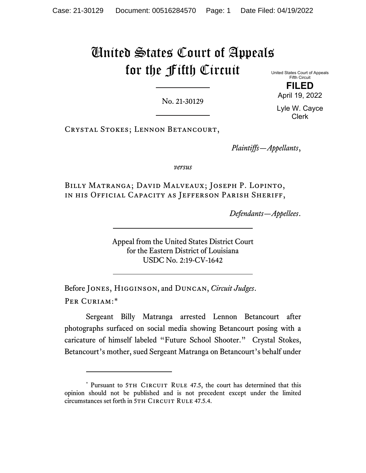# United States Court of Appeals for the Fifth Circuit

No. 21-30129

United States Court of Appeals Fifth Circuit **FILED**

> April 19, 2022 Lyle W. Cayce

> > Clerk

Crystal Stokes; Lennon Betancourt,

*Plaintiffs—Appellants*,

*versus*

Billy Matranga; David Malveaux; Joseph P. Lopinto, in his Official Capacity as Jefferson Parish Sheriff,

*Defendants—Appellees*.

Appeal from the United States District Court for the Eastern District of Louisiana USDC No. 2:19-CV-1642

Before Jones, Higginson, and Duncan, *Circuit Judges*. Per Curiam:[\\*](#page-0-0)

Sergeant Billy Matranga arrested Lennon Betancourt after photographs surfaced on social media showing Betancourt posing with a caricature of himself labeled "Future School Shooter." Crystal Stokes, Betancourt's mother, sued Sergeant Matranga on Betancourt's behalf under

<span id="page-0-0"></span><sup>\*</sup> Pursuant to 5TH CIRCUIT RULE 47.5, the court has determined that this opinion should not be published and is not precedent except under the limited circumstances set forth in 5TH CIRCUIT RULE 47.5.4.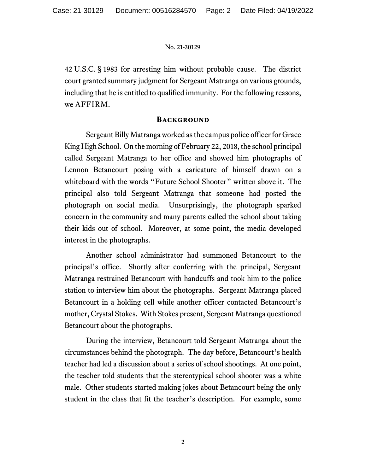42 U.S.C. § 1983 for arresting him without probable cause. The district court granted summary judgment for Sergeant Matranga on various grounds, including that he is entitled to qualified immunity. For the following reasons, we AFFIRM.

# **Background**

Sergeant Billy Matranga worked as the campus police officer for Grace King High School. On the morning of February 22, 2018, the school principal called Sergeant Matranga to her office and showed him photographs of Lennon Betancourt posing with a caricature of himself drawn on a whiteboard with the words "Future School Shooter" written above it. The principal also told Sergeant Matranga that someone had posted the photograph on social media. Unsurprisingly, the photograph sparked concern in the community and many parents called the school about taking their kids out of school. Moreover, at some point, the media developed interest in the photographs.

Another school administrator had summoned Betancourt to the principal's office. Shortly after conferring with the principal, Sergeant Matranga restrained Betancourt with handcuffs and took him to the police station to interview him about the photographs. Sergeant Matranga placed Betancourt in a holding cell while another officer contacted Betancourt's mother, Crystal Stokes. With Stokes present, Sergeant Matranga questioned Betancourt about the photographs.

During the interview, Betancourt told Sergeant Matranga about the circumstances behind the photograph. The day before, Betancourt's health teacher had led a discussion about a series of school shootings. At one point, the teacher told students that the stereotypical school shooter was a white male. Other students started making jokes about Betancourt being the only student in the class that fit the teacher's description. For example, some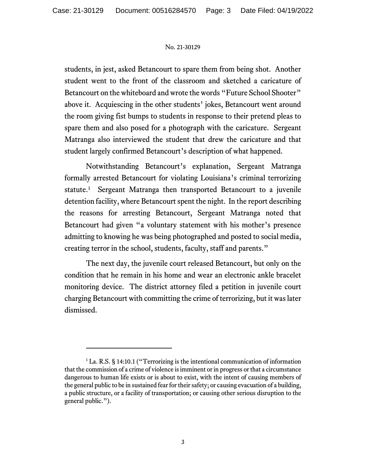students, in jest, asked Betancourt to spare them from being shot. Another student went to the front of the classroom and sketched a caricature of Betancourt on the whiteboard and wrote the words "Future School Shooter" above it. Acquiescing in the other students' jokes, Betancourt went around the room giving fist bumps to students in response to their pretend pleas to spare them and also posed for a photograph with the caricature. Sergeant Matranga also interviewed the student that drew the caricature and that student largely confirmed Betancourt's description of what happened.

Notwithstanding Betancourt's explanation, Sergeant Matranga formally arrested Betancourt for violating Louisiana's criminal terrorizing statute[.1](#page-2-0) Sergeant Matranga then transported Betancourt to a juvenile detention facility, where Betancourt spent the night. In the report describing the reasons for arresting Betancourt, Sergeant Matranga noted that Betancourt had given "a voluntary statement with his mother's presence admitting to knowing he was being photographed and posted to social media, creating terror in the school, students, faculty, staff and parents."

The next day, the juvenile court released Betancourt, but only on the condition that he remain in his home and wear an electronic ankle bracelet monitoring device. The district attorney filed a petition in juvenile court charging Betancourt with committing the crime of terrorizing, but it was later dismissed.

<span id="page-2-0"></span><sup>&</sup>lt;sup>1</sup> La. R.S. § 14:10.1 ("Terrorizing is the intentional communication of information that the commission of a crime of violence is imminent or in progress or that a circumstance dangerous to human life exists or is about to exist, with the intent of causing members of the general public to be in sustained fear for their safety; or causing evacuation of a building, a public structure, or a facility of transportation; or causing other serious disruption to the general public.").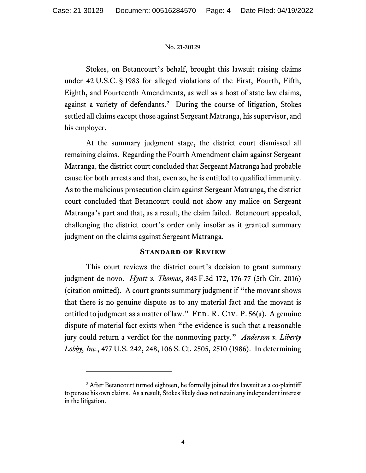Stokes, on Betancourt's behalf, brought this lawsuit raising claims under 42 U.S.C. § 1983 for alleged violations of the First, Fourth, Fifth, Eighth, and Fourteenth Amendments, as well as a host of state law claims, against a variety of defendants.[2](#page-3-0) During the course of litigation, Stokes settled all claims except those against Sergeant Matranga, his supervisor, and his employer.

At the summary judgment stage, the district court dismissed all remaining claims. Regarding the Fourth Amendment claim against Sergeant Matranga, the district court concluded that Sergeant Matranga had probable cause for both arrests and that, even so, he is entitled to qualified immunity. As to the malicious prosecution claim against Sergeant Matranga, the district court concluded that Betancourt could not show any malice on Sergeant Matranga's part and that, as a result, the claim failed.Betancourt appealed, challenging the district court's order only insofar as it granted summary judgment on the claims against Sergeant Matranga.

# **Standard of Review**

This court reviews the district court's decision to grant summary judgment de novo. *Hyatt v. Thomas*, 843 F.3d 172, 176-77 (5th Cir. 2016) (citation omitted). A court grants summary judgment if "the movant shows that there is no genuine dispute as to any material fact and the movant is entitled to judgment as a matter of law." FED. R. CIV. P.  $56(a)$ . A genuine dispute of material fact exists when "the evidence is such that a reasonable jury could return a verdict for the nonmoving party." *Anderson v. Liberty Lobby, Inc.*, 477 U.S. 242, 248, 106 S. Ct. 2505, 2510 (1986). In determining

<span id="page-3-0"></span><sup>&</sup>lt;sup>2</sup> After Betancourt turned eighteen, he formally joined this lawsuit as a co-plaintiff to pursue his own claims. As a result, Stokes likely does not retain any independent interest in the litigation.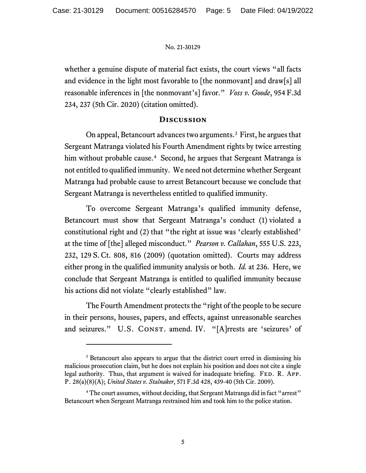whether a genuine dispute of material fact exists, the court views "all facts and evidence in the light most favorable to [the nonmovant] and draw[s] all reasonable inferences in [the nonmovant's] favor." *Voss v. Goode*, 954 F.3d 234, 237 (5th Cir. 2020) (citation omitted).

# **Discussion**

On appeal, Betancourt advances two arguments.<sup>[3](#page-4-0)</sup> First, he argues that Sergeant Matranga violated his Fourth Amendment rights by twice arresting him without probable cause. [4](#page-4-1) Second, he argues that Sergeant Matranga is not entitled to qualified immunity. We need not determine whether Sergeant Matranga had probable cause to arrest Betancourt because we conclude that Sergeant Matranga is nevertheless entitled to qualified immunity.

To overcome Sergeant Matranga's qualified immunity defense, Betancourt must show that Sergeant Matranga's conduct (1) violated a constitutional right and (2) that "the right at issue was 'clearly established' at the time of [the] alleged misconduct." *Pearson v. Callahan*, 555 U.S. 223, 232, 129 S. Ct. 808, 816 (2009) (quotation omitted). Courts may address either prong in the qualified immunity analysis or both. *Id.* at 236. Here, we conclude that Sergeant Matranga is entitled to qualified immunity because his actions did not violate "clearly established" law.

The Fourth Amendment protects the "right of the people to be secure in their persons, houses, papers, and effects, against unreasonable searches and seizures." U.S. CONST. amend. IV. "[A]rrests are 'seizures' of

<span id="page-4-0"></span><sup>&</sup>lt;sup>3</sup> Betancourt also appears to argue that the district court erred in dismissing his malicious prosecution claim, but he does not explain his position and does not cite a single legal authority. Thus, that argument is waived for inadequate briefing. FED. R. APP. P. 28(a)(8)(A); *United States v. Stalnaker*, 571 F.3d 428, 439-40 (5th Cir. 2009).

<span id="page-4-1"></span><sup>&</sup>lt;sup>4</sup> The court assumes, without deciding, that Sergeant Matranga did in fact "arrest" Betancourt when Sergeant Matranga restrained him and took him to the police station.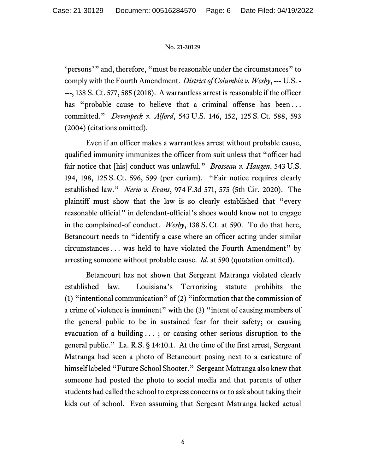'persons'" and, therefore, "must be reasonable under the circumstances" to comply with the Fourth Amendment. *District of Columbia v. Wesby*, --- U.S. - ---, 138 S. Ct. 577, 585 (2018). A warrantless arrest is reasonable if the officer has "probable cause to believe that a criminal offense has been... committed." *Devenpeck v. Alford*, 543 U.S. 146, 152, 125 S. Ct. 588, 593 (2004) (citations omitted).

Even if an officer makes a warrantless arrest without probable cause, qualified immunity immunizes the officer from suit unless that "officer had fair notice that [his] conduct was unlawful." *Brosseau v. Haugen*, 543 U.S. 194, 198, 125 S. Ct. 596, 599 (per curiam). "Fair notice requires clearly established law." *Nerio v. Evans*, 974 F.3d 571, 575 (5th Cir. 2020). The plaintiff must show that the law is so clearly established that "every reasonable official" in defendant-official's shoes would know not to engage in the complained-of conduct. *Wesby*, 138 S. Ct. at 590. To do that here, Betancourt needs to "identify a case where an officer acting under similar circumstances . . . was held to have violated the Fourth Amendment" by arresting someone without probable cause. *Id.* at 590 (quotation omitted).

Betancourt has not shown that Sergeant Matranga violated clearly established law. Louisiana's Terrorizing statute prohibits the (1) "intentional communication" of (2) "information that the commission of a crime of violence is imminent" with the (3) "intent of causing members of the general public to be in sustained fear for their safety; or causing evacuation of a building . . . ; or causing other serious disruption to the general public." La. R.S. § 14:10.1. At the time of the first arrest, Sergeant Matranga had seen a photo of Betancourt posing next to a caricature of himself labeled "Future School Shooter." Sergeant Matranga also knew that someone had posted the photo to social media and that parents of other students had called the school to express concerns or to ask about taking their kids out of school. Even assuming that Sergeant Matranga lacked actual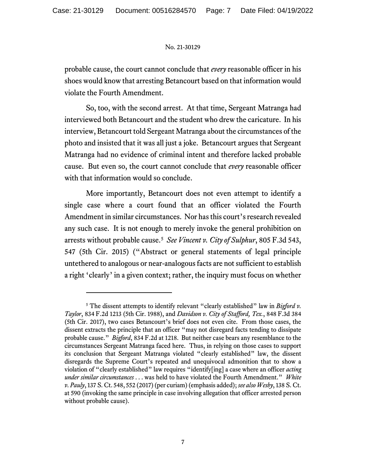probable cause, the court cannot conclude that *every* reasonable officer in his shoes would know that arresting Betancourt based on that information would violate the Fourth Amendment.

So, too, with the second arrest. At that time, Sergeant Matranga had interviewed both Betancourt and the student who drew the caricature. In his interview, Betancourt told Sergeant Matranga about the circumstances of the photo and insisted that it was all just a joke. Betancourt argues that Sergeant Matranga had no evidence of criminal intent and therefore lacked probable cause. But even so, the court cannot conclude that *every* reasonable officer with that information would so conclude.

More importantly, Betancourt does not even attempt to identify a single case where a court found that an officer violated the Fourth Amendment in similar circumstances. Nor has this court's research revealed any such case. It is not enough to merely invoke the general prohibition on arrests without probable cause.[5](#page-6-0) *See Vincent v. City of Sulphur*, 805 F.3d 543, 547 (5th Cir. 2015) ("Abstract or general statements of legal principle untethered to analogous or near-analogous facts are not sufficient to establish a right 'clearly' in a given context; rather, the inquiry must focus on whether

<span id="page-6-0"></span><sup>5</sup> The dissent attempts to identify relevant "clearly established" law in *Bigford v. Taylor*, 834 F.2d 1213 (5th Cir. 1988), and *Davidson v. City of Stafford, Tex.*, 848 F.3d 384 (5th Cir. 2017), two cases Betancourt's brief does not even cite. From those cases, the dissent extracts the principle that an officer "may not disregard facts tending to dissipate probable cause." *Bigford*, 834 F.2d at 1218. But neither case bears any resemblance to the circumstances Sergeant Matranga faced here. Thus, in relying on those cases to support its conclusion that Sergeant Matranga violated "clearly established" law, the dissent disregards the Supreme Court's repeated and unequivocal admonition that to show a violation of "clearly established" law requires "identify[ing] a case where an officer *acting under similar circumstances* . . . was held to have violated the Fourth Amendment." *White v. Pauly*, 137 S. Ct. 548, 552 (2017) (per curiam)(emphasis added); *see also Wesby*, 138 S. Ct. at 590 (invoking the same principle in case involving allegation that officer arrested person without probable cause).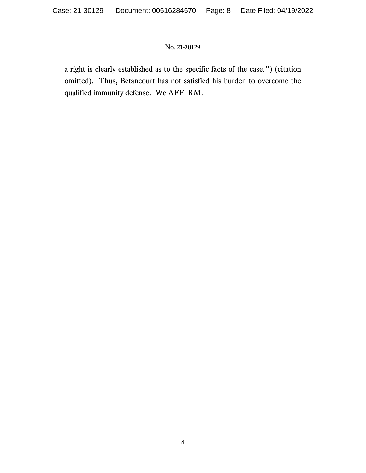a right is clearly established as to the specific facts of the case.") (citation omitted). Thus, Betancourt has not satisfied his burden to overcome the qualified immunity defense. We AFFIRM.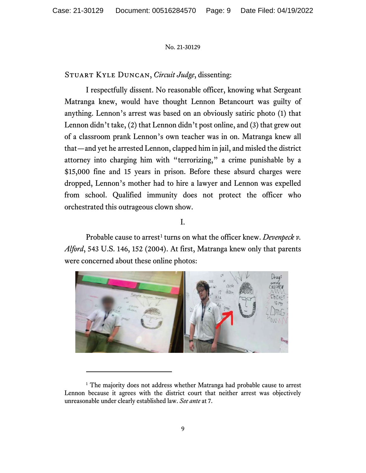Stuart Kyle Duncan, *Circuit Judge*, dissenting:

I respectfully dissent. No reasonable officer, knowing what Sergeant Matranga knew, would have thought Lennon Betancourt was guilty of anything. Lennon's arrest was based on an obviously satiric photo (1) that Lennon didn't take, (2) that Lennon didn't post online, and (3) that grew out of a classroom prank Lennon's own teacher was in on. Matranga knew all that—and yet he arrested Lennon, clapped him in jail, and misled the district attorney into charging him with "terrorizing," a crime punishable by a \$15,000 fine and 15 years in prison. Before these absurd charges were dropped, Lennon's mother had to hire a lawyer and Lennon was expelled from school. Qualified immunity does not protect the officer who orchestrated this outrageous clown show.

# I.

Probable cause to arrest<sup>[1](#page-8-0)</sup> turns on what the officer knew. *Devenpeck v*. *Alford*, 543 U.S. 146, 152 (2004). At first, Matranga knew only that parents were concerned about these online photos:



<span id="page-8-0"></span><sup>&</sup>lt;sup>1</sup> The majority does not address whether Matranga had probable cause to arrest Lennon because it agrees with the district court that neither arrest was objectively unreasonable under clearly established law. *See ante* at 7.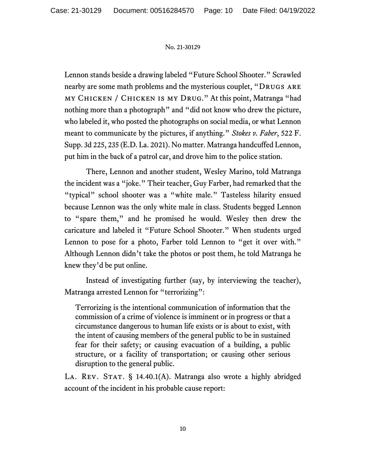Lennon stands beside a drawing labeled "Future School Shooter." Scrawled nearby are some math problems and the mysterious couplet, "DRUGS ARE" my Chicken / Chicken is my Drug." At this point, Matranga "had nothing more than a photograph" and "did not know who drew the picture, who labeled it, who posted the photographs on social media, or what Lennon meant to communicate by the pictures, if anything." *Stokes v. Faber*, 522 F. Supp. 3d 225, 235 (E.D. La. 2021). No matter. Matranga handcuffed Lennon, put him in the back of a patrol car, and drove him to the police station.

There, Lennon and another student, Wesley Marino, told Matranga the incident was a "joke." Their teacher, Guy Farber, had remarked that the "typical" school shooter was a "white male." Tasteless hilarity ensued because Lennon was the only white male in class. Students begged Lennon to "spare them," and he promised he would. Wesley then drew the caricature and labeled it "Future School Shooter." When students urged Lennon to pose for a photo, Farber told Lennon to "get it over with." Although Lennon didn't take the photos or post them, he told Matranga he knew they'd be put online.

Instead of investigating further (say, by interviewing the teacher), Matranga arrested Lennon for "terrorizing":

Terrorizing is the intentional communication of information that the commission of a crime of violence is imminent or in progress or that a circumstance dangerous to human life exists or is about to exist, with the intent of causing members of the general public to be in sustained fear for their safety; or causing evacuation of a building, a public structure, or a facility of transportation; or causing other serious disruption to the general public.

LA. REV. STAT.  $\S$  14.40.1(A). Matranga also wrote a highly abridged account of the incident in his probable cause report: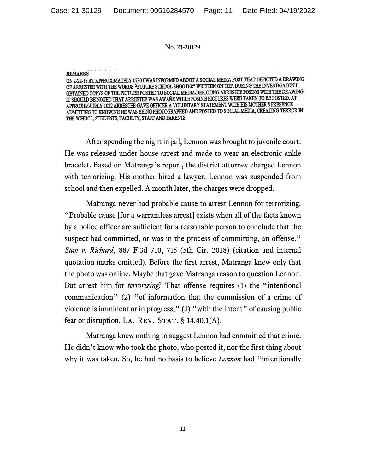#### **REMARKS**

ON 2-22-18 AT APPROXIMATELY 0730 I WAS INFORMED ABOUT A SOCIAL MEDIA POST THAT DEPICTED A DRAWING OF ARRESTEE WITH THE WORDS "FUTURE SCHOOL SHOOTER" WRITTEN ON TOP. DURING THE INVESTIGATON I OBTAINED COPYS OF THE PICTURE POSTED TO SOCIAL MEDIA.DEPICTING ARRESTEE POSING WITH THE DRAWING. IT SHOULD BE NOTED THAT ARRESTEE WAS AWARE WHILE POSING PICTURES WERE TAKEN TO BE POSTED. AT APPROXIMATELY 1022 ARRESTEE GAVE OFFICER A VOLUNTARY STATEMENT WITH HIS MOTHER'S PRESENCE ADMITTING TO KNOWING HE WAS BEING PHOTOGRAPHED AND POSTED TO SOCIAL MEDIA, CREATING TERROR IN THE SCHOOL, STUDENTS, FACULTY, STAFF AND PARENTS.

After spending the night in jail, Lennon was brought to juvenile court. He was released under house arrest and made to wear an electronic ankle bracelet. Based on Matranga's report, the district attorney charged Lennon with terrorizing. His mother hired a lawyer. Lennon was suspended from school and then expelled. A month later, the charges were dropped.

Matranga never had probable cause to arrest Lennon for terrorizing. "Probable cause [for a warrantless arrest] exists when all of the facts known by a police officer are sufficient for a reasonable person to conclude that the suspect had committed, or was in the process of committing, an offense." *Sam v. Richard*, 887 F.3d 710, 715 (5th Cir. 2018) (citation and internal quotation marks omitted). Before the first arrest, Matranga knew only that the photo was online. Maybe that gave Matranga reason to question Lennon. But arrest him for *terrorizing*? That offense requires (1) the "intentional communication" (2) "of information that the commission of a crime of violence is imminent or in progress," (3) "with the intent" of causing public fear or disruption. LA. REV. STAT.  $§$  14.40.1(A).

Matranga knew nothing to suggest Lennon had committed that crime. He didn't know who took the photo, who posted it, nor the first thing about why it was taken. So, he had no basis to believe *Lennon* had "intentionally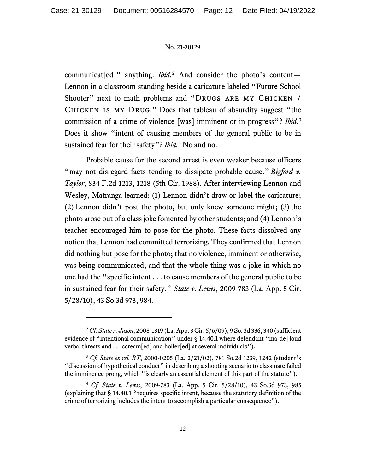communicat[ed]" anything. *Ibid.*[2](#page-11-0) And consider the photo's content— Lennon in a classroom standing beside a caricature labeled "Future School Shooter" next to math problems and "DRUGS ARE MY CHICKEN / Chicken is my Drug." Does that tableau of absurdity suggest "the commission of a crime of violence [was] imminent or in progress"? *Ibid.*[3](#page-11-1) Does it show "intent of causing members of the general public to be in sustained fear for their safety"? *Ibid.*[4](#page-11-2) No and no.

Probable cause for the second arrest is even weaker because officers "may not disregard facts tending to dissipate probable cause." *Bigford v. Taylor,* 834 F.2d 1213, 1218 (5th Cir. 1988). After interviewing Lennon and Wesley, Matranga learned: (1) Lennon didn't draw or label the caricature; (2) Lennon didn't post the photo, but only knew someone might; (3) the photo arose out of a class joke fomented by other students; and (4) Lennon's teacher encouraged him to pose for the photo. These facts dissolved any notion that Lennon had committed terrorizing. They confirmed that Lennon did nothing but pose for the photo; that no violence, imminent or otherwise, was being communicated; and that the whole thing was a joke in which no one had the "specific intent . . . to cause members of the general public to be in sustained fear for their safety." *State v. Lewis*, 2009-783 (La. App. 5 Cir. 5/28/10), 43 So.3d 973, 984.

<span id="page-11-0"></span><sup>2</sup>*Cf. State v. Jason*, 2008-1319 (La. App. 3 Cir. 5/6/09), 9 So. 3d 336, 340 (sufficient evidence of "intentional communication" under § 14.40.1 where defendant "ma[de] loud verbal threats and . . . scream[ed] and holler[ed] at several individuals").

<span id="page-11-1"></span><sup>3</sup> *Cf. State ex rel. RT*, 2000-0205 (La. 2/21/02), 781 So.2d 1239, 1242 (student's "discussion of hypothetical conduct" in describing a shooting scenario to classmate failed the imminence prong, which "is clearly an essential element of this part of the statute").

<span id="page-11-2"></span><sup>4</sup> *Cf. State v. Lewis*, 2009-783 (La. App. 5 Cir. 5/28/10), 43 So.3d 973, 985 (explaining that § 14.40.1 "requires specific intent, because the statutory definition of the crime of terrorizing includes the intent to accomplish a particular consequence").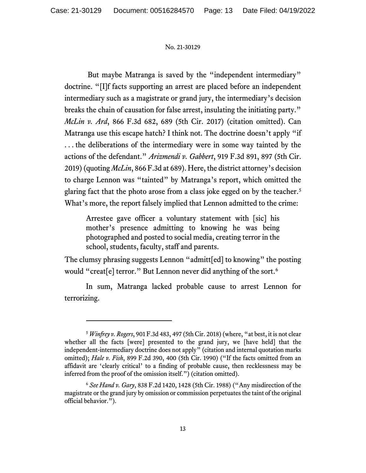But maybe Matranga is saved by the "independent intermediary" doctrine. "[I]f facts supporting an arrest are placed before an independent intermediary such as a magistrate or grand jury, the intermediary's decision breaks the chain of causation for false arrest, insulating the initiating party." *McLin v. Ard*, 866 F.3d 682, 689 (5th Cir. 2017) (citation omitted). Can Matranga use this escape hatch? I think not. The doctrine doesn't apply "if . . . the deliberations of the intermediary were in some way tainted by the actions of the defendant." *Arizmendi v. Gabbert*, 919 F.3d 891, 897 (5th Cir. 2019) (quoting *McLin*, 866 F.3d at 689). Here, the district attorney's decision to charge Lennon was "tainted" by Matranga's report, which omitted the glaring fact that the photo arose from a class joke egged on by the teacher.<sup>[5](#page-12-0)</sup> What's more, the report falsely implied that Lennon admitted to the crime:

Arrestee gave officer a voluntary statement with [sic] his mother's presence admitting to knowing he was being photographed and posted to social media, creating terror in the school, students, faculty, staff and parents.

The clumsy phrasing suggests Lennon "admitt[ed] to knowing" the posting would "creat[e] terror." But Lennon never did anything of the sort. [6](#page-12-1)

In sum, Matranga lacked probable cause to arrest Lennon for terrorizing.

<span id="page-12-0"></span><sup>5</sup> *Winfrey v. Rogers*, 901 F.3d 483, 497 (5th Cir. 2018) (where, "at best, it is not clear whether all the facts [were] presented to the grand jury, we [have held] that the independent-intermediary doctrine does not apply" (citation and internal quotation marks omitted); *Hale v. Fish*, 899 F.2d 390, 400 (5th Cir. 1990) ("If the facts omitted from an affidavit are 'clearly critical' to a finding of probable cause, then recklessness may be inferred from the proof of the omission itself.") (citation omitted).

<span id="page-12-1"></span><sup>6</sup> *See Hand v. Gary*, 838 F.2d 1420, 1428 (5th Cir. 1988) ("Any misdirection of the magistrate or the grand jury by omission or commission perpetuates the taint of the original official behavior.").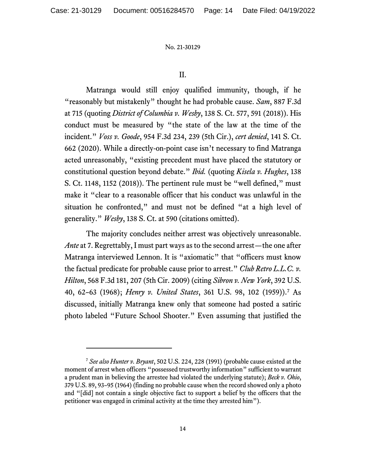## II.

Matranga would still enjoy qualified immunity, though, if he "reasonably but mistakenly" thought he had probable cause. *Sam*, 887 F.3d at 715 (quoting *District of Columbia v. Wesby*, 138 S. Ct. 577, 591 (2018)). His conduct must be measured by "the state of the law at the time of the incident." *Voss v. Goode*, 954 F.3d 234, 239 (5th Cir.), *cert denied*, 141 S. Ct. 662 (2020). While a directly-on-point case isn't necessary to find Matranga acted unreasonably, "existing precedent must have placed the statutory or constitutional question beyond debate." *Ibid.* (quoting *Kisela v. Hughes*, 138 S. Ct. 1148, 1152 (2018)). The pertinent rule must be "well defined," must make it "clear to a reasonable officer that his conduct was unlawful in the situation he confronted," and must not be defined "at a high level of generality." *Wesby*, 138 S. Ct. at 590 (citations omitted).

The majority concludes neither arrest was objectively unreasonable. *Ante* at 7. Regrettably, I must part ways as to the second arrest—the one after Matranga interviewed Lennon. It is "axiomatic" that "officers must know the factual predicate for probable cause prior to arrest." *Club Retro L.L.C. v. Hilton*, 568 F.3d 181, 207 (5th Cir. 2009) (citing *Sibron v. New York*, 392 U.S. 40, 62–63 (1968); *Henry v. United States*, 361 U.S. 98, 102 (1959)). [7](#page-13-0) As discussed, initially Matranga knew only that someone had posted a satiric photo labeled "Future School Shooter." Even assuming that justified the

<span id="page-13-0"></span><sup>7</sup> *See also Hunter v. Bryant*, 502 U.S. 224, 228 (1991) (probable cause existed at the moment of arrest when officers "possessed trustworthy information" sufficient to warrant a prudent man in believing the arrestee had violated the underlying statute); *Beck v. Ohio*, 379 U.S. 89, 93–95 (1964) (finding no probable cause when the record showed only a photo and "[did] not contain a single objective fact to support a belief by the officers that the petitioner was engaged in criminal activity at the time they arrested him").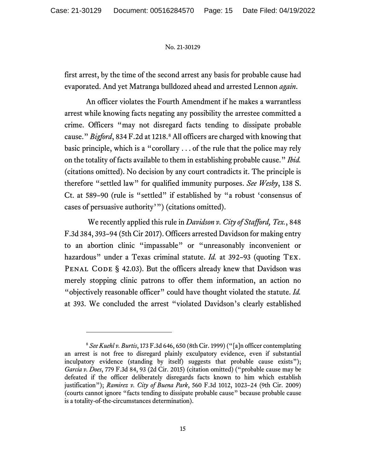first arrest, by the time of the second arrest any basis for probable cause had evaporated. And yet Matranga bulldozed ahead and arrested Lennon *again*.

An officer violates the Fourth Amendment if he makes a warrantless arrest while knowing facts negating any possibility the arrestee committed a crime. Officers "may not disregard facts tending to dissipate probable cause." *Bigford*, 834 F.2d at 1218. [8](#page-14-0) All officers are charged with knowing that basic principle, which is a "corollary . . . of the rule that the police may rely on the totality of facts available to them in establishing probable cause." *Ibid.*  (citations omitted). No decision by any court contradicts it. The principle is therefore "settled law" for qualified immunity purposes. *See Wesby*, 138 S. Ct. at 589–90 (rule is "settled" if established by "a robust 'consensus of cases of persuasive authority'") (citations omitted).

We recently applied this rule in *Davidson v. City of Stafford, Tex.*, 848 F.3d 384, 393–94 (5th Cir 2017). Officers arrested Davidson for making entry to an abortion clinic "impassable" or "unreasonably inconvenient or hazardous" under a Texas criminal statute. *Id.* at 392–93 (quoting Tex. PENAL CODE § 42.03). But the officers already knew that Davidson was merely stopping clinic patrons to offer them information, an action no "objectively reasonable officer" could have thought violated the statute. *Id.* at 393. We concluded the arrest "violated Davidson's clearly established

<span id="page-14-0"></span><sup>8</sup> *See Kuehl v. Burtis*, 173 F.3d 646, 650 (8th Cir. 1999) ("[a]n officer contemplating an arrest is not free to disregard plainly exculpatory evidence, even if substantial inculpatory evidence (standing by itself) suggests that probable cause exists"); *Garcia v. Does*, 779 F.3d 84, 93 (2d Cir. 2015) (citation omitted) ("probable cause may be defeated if the officer deliberately disregards facts known to him which establish justification"); *Ramirez v. City of Buena Park*, 560 F.3d 1012, 1023–24 (9th Cir. 2009) (courts cannot ignore "facts tending to dissipate probable cause" because probable cause is a totality-of-the-circumstances determination).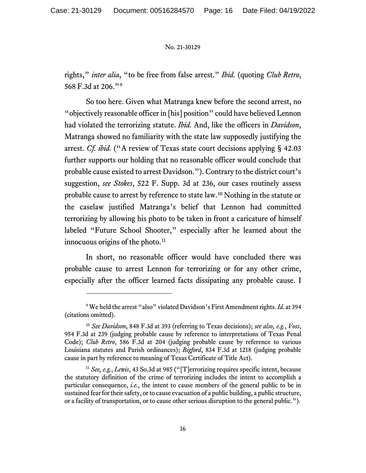rights," *inter alia*, "to be free from false arrest." *Ibid.* (quoting *Club Retro*, 568 F.3d at 206."[9](#page-15-0)

So too here. Given what Matranga knew before the second arrest, no "objectively reasonable officer in [his] position" could have believed Lennon had violated the terrorizing statute. *Ibid.* And, like the officers in *Davidson*, Matranga showed no familiarity with the state law supposedly justifying the arrest. *Cf. ibid.* ("A review of Texas state court decisions applying § 42.03 further supports our holding that no reasonable officer would conclude that probable cause existed to arrest Davidson."). Contrary to the district court's suggestion, *see Stokes*, 522 F. Supp. 3d at 236, our cases routinely assess probable cause to arrest by reference to state law.[10](#page-15-1) Nothing in the statute or the caselaw justified Matranga's belief that Lennon had committed terrorizing by allowing his photo to be taken in front a caricature of himself labeled "Future School Shooter," especially after he learned about the innocuous origins of the photo.<sup>[11](#page-15-2)</sup>

In short, no reasonable officer would have concluded there was probable cause to arrest Lennon for terrorizing or for any other crime, especially after the officer learned facts dissipating any probable cause. I

<span id="page-15-0"></span><sup>9</sup> We held the arrest "also" violated Davidson's First Amendment rights. *Id.* at 394 (citations omitted).

<span id="page-15-1"></span><sup>10</sup> *See Davidson*, 848 F.3d at 393 (referring to Texas decisions); *see also, e.g.*, *Voss*, 954 F.3d at 239 (judging probable cause by reference to interpretations of Texas Penal Code); *Club Retro*, 586 F.3d at 204 (judging probable cause by reference to various Louisiana statutes and Parish ordinances); *Bigford*, 834 F.3d at 1218 (judging probable cause in part by reference to meaning of Texas Certificate of Title Act).

<span id="page-15-2"></span><sup>11</sup> *See, e.g.*, *Lewis*, 43 So.3d at 985 ("[T]errorizing requires specific intent, because the statutory definition of the crime of terrorizing includes the intent to accomplish a particular consequence, *i.e.*, the intent to cause members of the general public to be in sustained fear for their safety, or to cause evacuation of a public building, a public structure, or a facility of transportation, or to cause other serious disruption to the general public.").